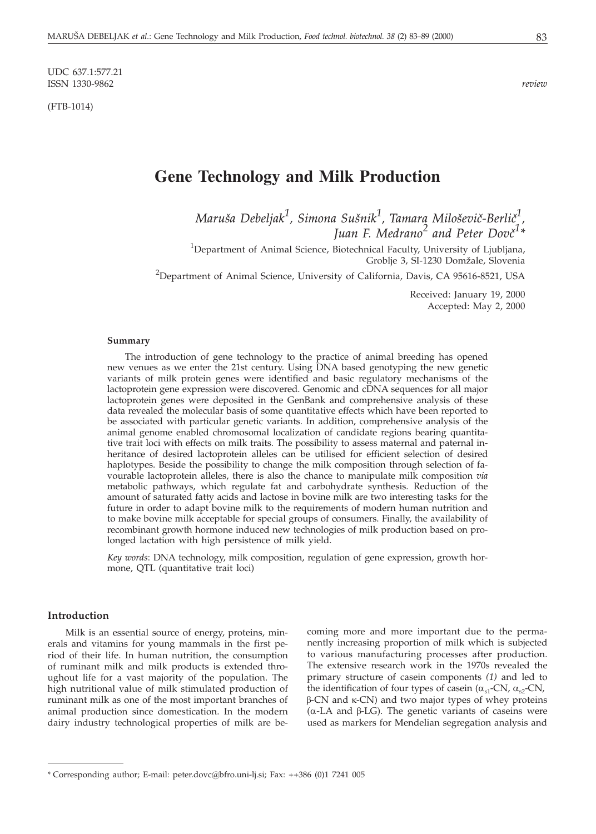UDC 637.1:577.21 ISSN 1330-9862 *review*

(FTB-1014)

# **Gene Technology and Milk Production**

*Maru{a Debeljak<sup>1</sup> , Simona Su{nik<sup>1</sup> , Tamara Milo{evi~-Berli~<sup>1</sup> ,* Juan F. Medrano<sup>2</sup> and Peter Dovč<sup>1</sup>\*

<sup>1</sup>Department of Animal Science, Biotechnical Faculty, University of Ljubljana, Groblje 3, SI-1230 Domžale, Slovenia

<sup>2</sup>Department of Animal Science, University of California, Davis, CA 95616-8521, USA

Received: January 19, 2000 Accepted: May 2, 2000

#### **Summary**

The introduction of gene technology to the practice of animal breeding has opened new venues as we enter the 21st century. Using DNA based genotyping the new genetic variants of milk protein genes were identified and basic regulatory mechanisms of the lactoprotein gene expression were discovered. Genomic and cDNA sequences for all major lactoprotein genes were deposited in the GenBank and comprehensive analysis of these data revealed the molecular basis of some quantitative effects which have been reported to be associated with particular genetic variants. In addition, comprehensive analysis of the animal genome enabled chromosomal localization of candidate regions bearing quantitative trait loci with effects on milk traits. The possibility to assess maternal and paternal inheritance of desired lactoprotein alleles can be utilised for efficient selection of desired haplotypes. Beside the possibility to change the milk composition through selection of favourable lactoprotein alleles, there is also the chance to manipulate milk composition *via* metabolic pathways, which regulate fat and carbohydrate synthesis. Reduction of the amount of saturated fatty acids and lactose in bovine milk are two interesting tasks for the future in order to adapt bovine milk to the requirements of modern human nutrition and to make bovine milk acceptable for special groups of consumers. Finally, the availability of recombinant growth hormone induced new technologies of milk production based on prolonged lactation with high persistence of milk yield.

*Key words*: DNA technology, milk composition, regulation of gene expression, growth hormone, QTL (quantitative trait loci)

## **Introduction**

Milk is an essential source of energy, proteins, minerals and vitamins for young mammals in the first period of their life. In human nutrition, the consumption of ruminant milk and milk products is extended throughout life for a vast majority of the population. The high nutritional value of milk stimulated production of ruminant milk as one of the most important branches of animal production since domestication. In the modern dairy industry technological properties of milk are be-

coming more and more important due to the permanently increasing proportion of milk which is subjected to various manufacturing processes after production. The extensive research work in the 1970s revealed the primary structure of casein components *(1)* and led to the identification of four types of casein  $(\alpha_{s1}$ -CN,  $\alpha_{s2}$ -CN,  $\beta$ -CN and  $\kappa$ -CN) and two major types of whey proteins  $(\alpha$ -LA and  $\beta$ -LG). The genetic variants of caseins were used as markers for Mendelian segregation analysis and

<sup>\*</sup> Corresponding author; E-mail: peter.dovc*@*bfro.uni-lj.si; Fax: ++386 (0)1 7241 005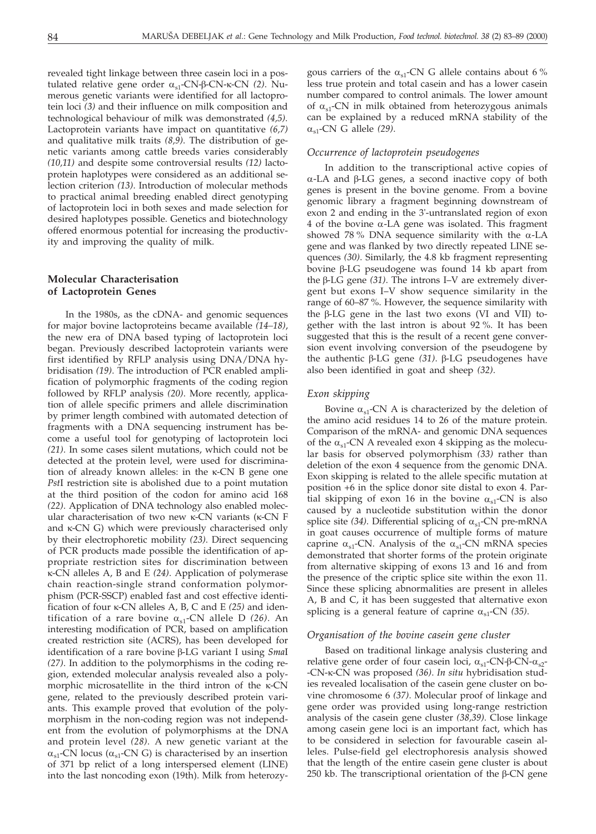revealed tight linkage between three casein loci in a postulated relative gene order α<sub>s1</sub>-CN-β-CN-κ-CN *(2)*. Numerous genetic variants were identified for all lactoprotein loci *(3)* and their influence on milk composition and technological behaviour of milk was demonstrated *(4,5)*. Lactoprotein variants have impact on quantitative *(6,7)* and qualitative milk traits *(8,9)*. The distribution of genetic variants among cattle breeds varies considerably *(10,11)* and despite some controversial results *(12)* lactoprotein haplotypes were considered as an additional selection criterion *(13)*. Introduction of molecular methods to practical animal breeding enabled direct genotyping of lactoprotein loci in both sexes and made selection for desired haplotypes possible. Genetics and biotechnology offered enormous potential for increasing the productivity and improving the quality of milk.

## **Molecular Characterisation of Lactoprotein Genes**

In the 1980s, as the cDNA- and genomic sequences for major bovine lactoproteins became available *(14–18)*, the new era of DNA based typing of lactoprotein loci began. Previously described lactoprotein variants were first identified by RFLP analysis using DNA/DNA hybridisation *(19)*. The introduction of PCR enabled amplification of polymorphic fragments of the coding region followed by RFLP analysis *(20)*. More recently, application of allele specific primers and allele discrimination by primer length combined with automated detection of fragments with a DNA sequencing instrument has become a useful tool for genotyping of lactoprotein loci *(21)*. In some cases silent mutations, which could not be detected at the protein level, were used for discrimination of already known alleles: in the  $\kappa$ -CN B gene one *Pst*I restriction site is abolished due to a point mutation at the third position of the codon for amino acid 168 *(22)*. Application of DNA technology also enabled molecular characterisation of two new  $\kappa$ -CN variants ( $\kappa$ -CN F and  $\kappa$ -CN G) which were previously characterised only by their electrophoretic mobility *(23)*. Direct sequencing of PCR products made possible the identification of appropriate restriction sites for discrimination between -CN alleles A, B and E *(24)*. Application of polymerase chain reaction-single strand conformation polymorphism (PCR-SSCP) enabled fast and cost effective identification of four  $\kappa$ -CN alleles A, B, C and E (25) and identification of a rare bovine  $\alpha_{s1}$ -CN allele D (26). An interesting modification of PCR, based on amplification created restriction site (ACRS), has been developed for identification of a rare bovine β-LG variant I using *SmaI (27)*. In addition to the polymorphisms in the coding region, extended molecular analysis revealed also a polymorphic microsatellite in the third intron of the  $\kappa$ -CN gene, related to the previously described protein variants. This example proved that evolution of the polymorphism in the non-coding region was not independent from the evolution of polymorphisms at the DNA and protein level *(28)*. A new genetic variant at the  $\alpha_{s1}$ -CN locus ( $\alpha_{s1}$ -CN G) is characterised by an insertion of 371 bp relict of a long interspersed element (LINE) into the last noncoding exon (19th). Milk from heterozy-

gous carriers of the  $\alpha_{s1}$ -CN G allele contains about 6 % less true protein and total casein and has a lower casein number compared to control animals. The lower amount of  $\alpha_{s1}$ -CN in milk obtained from heterozygous animals can be explained by a reduced mRNA stability of the  $\alpha_{s1}$ -CN G allele (29).

## *Occurrence of lactoprotein pseudogenes*

In addition to the transcriptional active copies of  $\alpha$ -LA and β-LG genes, a second inactive copy of both genes is present in the bovine genome. From a bovine genomic library a fragment beginning downstream of exon 2 and ending in the 3'-untranslated region of exon 4 of the bovine  $\alpha$ -LA gene was isolated. This fragment showed 78% DNA sequence similarity with the  $\alpha$ -LA gene and was flanked by two directly repeated LINE sequences *(30)*. Similarly, the 4.8 kb fragment representing bovine β-LG pseudogene was found 14 kb apart from the β-LG gene (31). The introns I–V are extremely divergent but exons I–V show sequence similarity in the range of 60–87 %. However, the sequence similarity with the  $\beta$ -LG gene in the last two exons (VI and VII) together with the last intron is about 92 %. It has been suggested that this is the result of a recent gene conversion event involving conversion of the pseudogene by the authentic β-LG gene (31). β-LG pseudogenes have also been identified in goat and sheep *(32)*.

### *Exon skipping*

Bovine  $\alpha_{s1}$ -CN A is characterized by the deletion of the amino acid residues 14 to 26 of the mature protein. Comparison of the mRNA- and genomic DNA sequences of the  $\alpha_{s1}$ -CN A revealed exon 4 skipping as the molecular basis for observed polymorphism *(33)* rather than deletion of the exon 4 sequence from the genomic DNA. Exon skipping is related to the allele specific mutation at position +6 in the splice donor site distal to exon 4. Partial skipping of exon 16 in the bovine  $\alpha_{s1}$ -CN is also caused by a nucleotide substitution within the donor splice site  $(34)$ . Differential splicing of  $\alpha_{s1}$ -CN pre-mRNA in goat causes occurrence of multiple forms of mature caprine  $\alpha_{s1}$ -CN. Analysis of the  $\alpha_{s1}$ -CN mRNA species demonstrated that shorter forms of the protein originate from alternative skipping of exons 13 and 16 and from the presence of the criptic splice site within the exon 11. Since these splicing abnormalities are present in alleles A, B and C, it has been suggested that alternative exon splicing is a general feature of caprine  $\alpha_{s1}$ -CN *(35)*.

#### *Organisation of the bovine casein gene cluster*

Based on traditional linkage analysis clustering and relative gene order of four casein loci,  $\alpha_{s1}$ -CN- $\beta$ -CN- $\alpha_{s2}$ --CN--CN was proposed *(36)*. *In situ* hybridisation studies revealed localisation of the casein gene cluster on bovine chromosome 6 *(37)*. Molecular proof of linkage and gene order was provided using long-range restriction analysis of the casein gene cluster *(38,39)*. Close linkage among casein gene loci is an important fact, which has to be considered in selection for favourable casein alleles. Pulse-field gel electrophoresis analysis showed that the length of the entire casein gene cluster is about 250 kb. The transcriptional orientation of the  $\beta$ -CN gene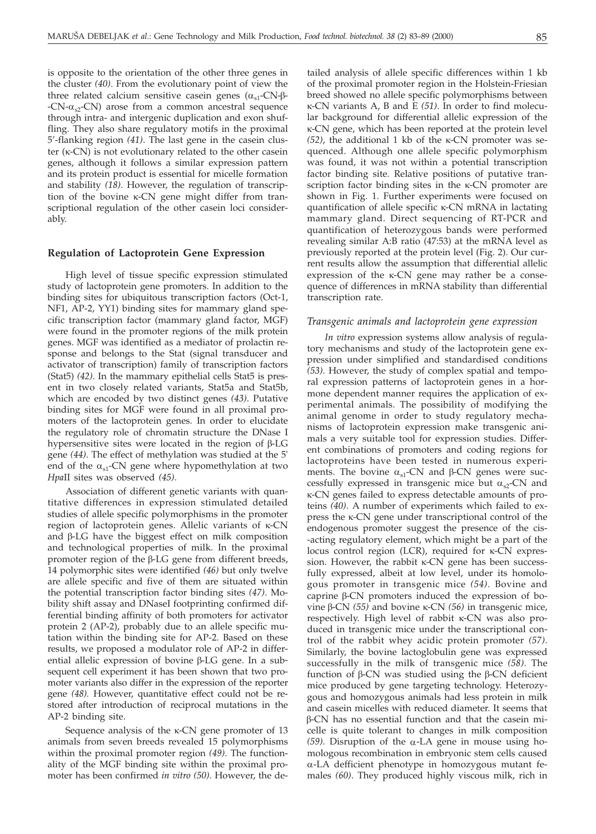is opposite to the orientation of the other three genes in the cluster *(40)*. From the evolutionary point of view the three related calcium sensitive casein genes  $(\alpha_{s1}$ -CN- $\beta$ - $-CN-\alpha_{s2}-CN$ ) arose from a common ancestral sequence through intra- and intergenic duplication and exon shuffling. They also share regulatory motifs in the proximal 5'-flanking region *(41)*. The last gene in the casein cluster ( $\kappa$ -CN) is not evolutionary related to the other casein genes, although it follows a similar expression pattern and its protein product is essential for micelle formation and stability *(18)*. However, the regulation of transcription of the bovine  $\kappa$ -CN gene might differ from transcriptional regulation of the other casein loci considerably.

## **Regulation of Lactoprotein Gene Expression**

High level of tissue specific expression stimulated study of lactoprotein gene promoters. In addition to the binding sites for ubiquitous transcription factors (Oct-1, NF1, AP-2, YY1) binding sites for mammary gland specific transcription factor (mammary gland factor, MGF) were found in the promoter regions of the milk protein genes. MGF was identified as a mediator of prolactin response and belongs to the Stat (signal transducer and activator of transcription) family of transcription factors (Stat5) *(42)*. In the mammary epithelial cells Stat5 is present in two closely related variants, Stat5a and Stat5b, which are encoded by two distinct genes *(43)*. Putative binding sites for MGF were found in all proximal promoters of the lactoprotein genes. In order to elucidate the regulatory role of chromatin structure the DNase I hypersensitive sites were located in the region of  $\beta\text{-LG}$ gene *(44)*. The effect of methylation was studied at the 5' end of the  $\alpha_{s1}$ -CN gene where hypomethylation at two *Hpa*II sites was observed *(45)*.

Association of different genetic variants with quantitative differences in expression stimulated detailed studies of allele specific polymorphisms in the promoter region of lactoprotein genes. Allelic variants of  $\kappa$ -CN and  $\beta$ -LG have the biggest effect on milk composition and technological properties of milk. In the proximal promoter region of the  $\beta$ -LG gene from different breeds, 14 polymorphic sites were identified *(46)* but only twelve are allele specific and five of them are situated within the potential transcription factor binding sites *(47)*. Mobility shift assay and DNaseI footprinting confirmed differential binding affinity of both promoters for activator protein 2 (AP-2), probably due to an allele specific mutation within the binding site for AP-2. Based on these results, we proposed a modulator role of AP-2 in differential allelic expression of bovine  $\beta$ -LG gene. In a subsequent cell experiment it has been shown that two promoter variants also differ in the expression of the reporter gene *(48).* However, quantitative effect could not be restored after introduction of reciprocal mutations in the AP-2 binding site.

Sequence analysis of the  $\kappa$ -CN gene promoter of 13 animals from seven breeds revealed 15 polymorphisms within the proximal promoter region *(49)*. The functionality of the MGF binding site within the proximal promoter has been confirmed *in vitro (50)*. However, the de-

tailed analysis of allele specific differences within 1 kb of the proximal promoter region in the Holstein-Friesian breed showed no allele specific polymorphisms between -CN variants A, B and E *(51)*. In order to find molecular background for differential allelic expression of the -CN gene, which has been reported at the protein level  $(52)$ , the additional 1 kb of the  $\kappa$ -CN promoter was sequenced. Although one allele specific polymorphism was found, it was not within a potential transcription factor binding site. Relative positions of putative transcription factor binding sites in the  $\kappa$ -CN promoter are shown in Fig. 1. Further experiments were focused on quantification of allele specific  $\kappa$ -CN mRNA in lactating mammary gland. Direct sequencing of RT-PCR and quantification of heterozygous bands were performed revealing similar A:B ratio (47:53) at the mRNA level as previously reported at the protein level (Fig. 2). Our current results allow the assumption that differential allelic expression of the  $\kappa$ -CN gene may rather be a consequence of differences in mRNA stability than differential transcription rate.

#### *Transgenic animals and lactoprotein gene expression*

*In vitro* expression systems allow analysis of regulatory mechanisms and study of the lactoprotein gene expression under simplified and standardised conditions *(53)*. However, the study of complex spatial and temporal expression patterns of lactoprotein genes in a hormone dependent manner requires the application of experimental animals. The possibility of modifying the animal genome in order to study regulatory mechanisms of lactoprotein expression make transgenic animals a very suitable tool for expression studies. Different combinations of promoters and coding regions for lactoproteins have been tested in numerous experiments. The bovine  $\alpha_{s1}$ -CN and  $\beta$ -CN genes were successfully expressed in transgenic mice but  $\alpha_{s2}$ -CN and -CN genes failed to express detectable amounts of proteins *(40)*. A number of experiments which failed to express the  $\kappa$ -CN gene under transcriptional control of the endogenous promoter suggest the presence of the cis- -acting regulatory element, which might be a part of the locus control region (LCR), required for  $\kappa$ -CN expression. However, the rabbit  $\kappa$ -CN gene has been successfully expressed, albeit at low level, under its homologous promoter in transgenic mice *(54)*. Bovine and caprine  $\beta$ -CN promoters induced the expression of botine β-CN (55) and bovine κ-CN (56) in transgenic mice, respectively. High level of rabbit  $\kappa$ -CN was also produced in transgenic mice under the transcriptional control of the rabbit whey acidic protein promoter *(57)*. Similarly, the bovine lactoglobulin gene was expressed successfully in the milk of transgenic mice *(58)*. The function of  $\beta$ -CN was studied using the  $\beta$ -CN deficient mice produced by gene targeting technology. Heterozygous and homozygous animals had less protein in milk and casein micelles with reduced diameter. It seems that β-CN has no essential function and that the casein micelle is quite tolerant to changes in milk composition  $(59)$ . Disruption of the  $\alpha$ -LA gene in mouse using homologous recombination in embryonic stem cells caused  $\alpha$ -LA defficient phenotype in homozygous mutant females *(60)*. They produced highly viscous milk, rich in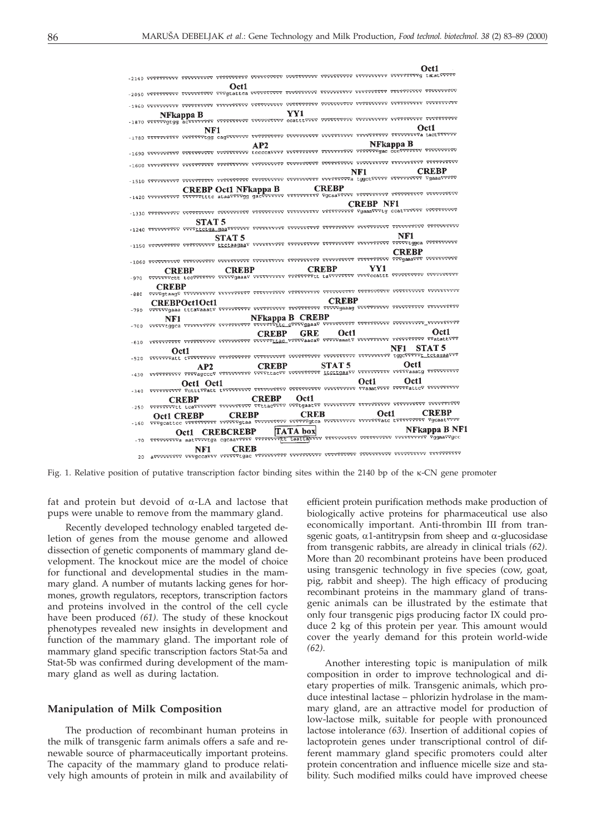

Fig. 1. Relative position of putative transcription factor binding sites within the 2140 bp of the  $\kappa$ -CN gene promoter

fat and protein but devoid of  $\alpha$ -LA and lactose that pups were unable to remove from the mammary gland.

Recently developed technology enabled targeted deletion of genes from the mouse genome and allowed dissection of genetic components of mammary gland development. The knockout mice are the model of choice for functional and developmental studies in the mammary gland. A number of mutants lacking genes for hormones, growth regulators, receptors, transcription factors and proteins involved in the control of the cell cycle have been produced *(61)*. The study of these knockout phenotypes revealed new insights in development and function of the mammary gland. The important role of mammary gland specific transcription factors Stat-5a and Stat-5b was confirmed during development of the mammary gland as well as during lactation.

## **Manipulation of Milk Composition**

The production of recombinant human proteins in the milk of transgenic farm animals offers a safe and renewable source of pharmaceutically important proteins. The capacity of the mammary gland to produce relatively high amounts of protein in milk and availability of

efficient protein purification methods make production of biologically active proteins for pharmaceutical use also economically important. Anti-thrombin III from transgenic goats,  $\alpha$ 1-antitrypsin from sheep and  $\alpha$ -glucosidase from transgenic rabbits, are already in clinical trials *(62)*. More than 20 recombinant proteins have been produced using transgenic technology in five species (cow, goat, pig, rabbit and sheep). The high efficacy of producing recombinant proteins in the mammary gland of transgenic animals can be illustrated by the estimate that only four transgenic pigs producing factor IX could produce 2 kg of this protein per year. This amount would cover the yearly demand for this protein world-wide *(62)*.

Another interesting topic is manipulation of milk composition in order to improve technological and dietary properties of milk. Transgenic animals, which produce intestinal lactase – phlorizin hydrolase in the mammary gland, are an attractive model for production of low-lactose milk, suitable for people with pronounced lactose intolerance *(63)*. Insertion of additional copies of lactoprotein genes under transcriptional control of different mammary gland specific promoters could alter protein concentration and influence micelle size and stability. Such modified milks could have improved cheese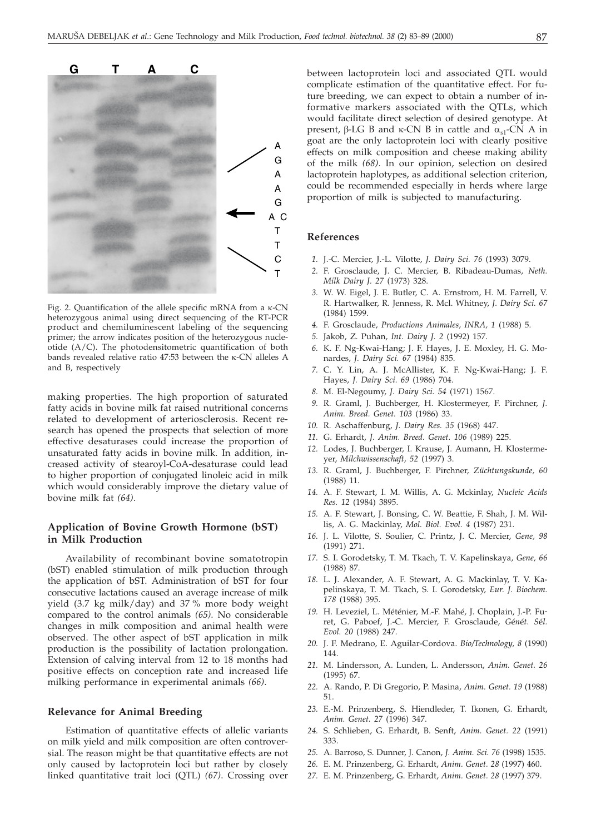

Fig. 2. Quantification of the allele specific mRNA from a  $\kappa$ -CN heterozygous animal using direct sequencing of the RT-PCR product and chemiluminescent labeling of the sequencing primer; the arrow indicates position of the heterozygous nucleotide (A/C). The photodensitometric quantification of both bands revealed relative ratio 47:53 between the  $\kappa$ -CN alleles A and B, respectively

making properties. The high proportion of saturated fatty acids in bovine milk fat raised nutritional concerns related to development of arteriosclerosis. Recent research has opened the prospects that selection of more effective desaturases could increase the proportion of unsaturated fatty acids in bovine milk. In addition, increased activity of stearoyl-CoA-desaturase could lead to higher proportion of conjugated linoleic acid in milk which would considerably improve the dietary value of bovine milk fat *(64)*.

## **Application of Bovine Growth Hormone (bST) in Milk Production**

Availability of recombinant bovine somatotropin (bST) enabled stimulation of milk production through the application of bST. Administration of bST for four consecutive lactations caused an average increase of milk yield (3.7 kg milk/day) and 37 % more body weight compared to the control animals *(65)*. No considerable changes in milk composition and animal health were observed. The other aspect of bST application in milk production is the possibility of lactation prolongation. Extension of calving interval from 12 to 18 months had positive effects on conception rate and increased life milking performance in experimental animals *(66)*.

### **Relevance for Animal Breeding**

Estimation of quantitative effects of allelic variants on milk yield and milk composition are often controversial. The reason might be that quantitative effects are not only caused by lactoprotein loci but rather by closely linked quantitative trait loci (QTL) *(67)*. Crossing over

between lactoprotein loci and associated QTL would complicate estimation of the quantitative effect. For future breeding, we can expect to obtain a number of informative markers associated with the QTLs, which would facilitate direct selection of desired genotype. At present,  $\beta$ -LG B and  $\kappa$ -CN B in cattle and  $\alpha_{s1}$ -CN A in goat are the only lactoprotein loci with clearly positive effects on milk composition and cheese making ability of the milk *(68)*. In our opinion, selection on desired lactoprotein haplotypes, as additional selection criterion, could be recommended especially in herds where large proportion of milk is subjected to manufacturing.

### **References**

- *1.* J.-C. Mercier, J.-L. Vilotte, *J. Dairy Sci. 76* (1993) 3079.
- *2.* F. Grosclaude, J. C. Mercier, B. Ribadeau-Dumas, *Neth. Milk Dairy J. 27* (1973) 328.
- *3.* W. W. Eigel, J. E. Butler, C. A. Ernstrom, H. M. Farrell, V. R. Hartwalker, R. Jenness, R. Mcl. Whitney, *J. Dairy Sci. 67* (1984) 1599.
- *4.* F. Grosclaude, *Productions Animales, INRA, 1* (1988) 5.
- *5.* Jakob, Z. Puhan, *Int. Dairy J. 2* (1992) 157.
- *6.* K. F. Ng-Kwai-Hang; J. F. Hayes, J. E. Moxley, H. G. Monardes, *J. Dairy Sci. 67* (1984) 835.
- *7.* C. Y. Lin, A. J. McAllister, K. F. Ng-Kwai-Hang; J. F. Hayes, *J. Dairy Sci. 69* (1986) 704.
- *8.* M. El-Negoumy, *J. Dairy Sci. 54* (1971) 1567.
- *9.* R. Graml, J. Buchberger, H. Klostermeyer, F. Pirchner, *J. Anim. Breed. Genet. 103* (1986) 33.
- *10.* R. Aschaffenburg, *J. Dairy Res. 35* (1968) 447.
- *11.* G. Erhardt, *J. Anim. Breed. Genet. 106* (1989) 225.
- *12.* Lodes, J. Buchberger, I. Krause, J. Aumann, H. Klostermeyer, *Milchwissenschaft, 52* (1997) 3.
- *13.* R. Graml, J. Buchberger, F. Pirchner, *Züchtungskunde, 60* (1988) 11.
- *14.* A. F. Stewart, I. M. Willis, A. G. Mckinlay, *Nucleic Acids Res. 12* (1984) 3895.
- *15.* A. F. Stewart, J. Bonsing, C. W. Beattie, F. Shah, J. M. Willis, A. G. Mackinlay, *Mol. Biol. Evol. 4* (1987) 231.
- *16.* J. L. Vilotte, S. Soulier, C. Printz, J. C. Mercier, *Gene, 98* (1991) 271.
- *17.* S. I. Gorodetsky, T. M. Tkach, T. V. Kapelinskaya, *Gene, 66* (1988) 87.
- *18.* L. J. Alexander, A. F. Stewart, A. G. Mackinlay, T. V. Kapelinskaya, T. M. Tkach, S. I. Gorodetsky, *Eur. J. Biochem. 178* (1988) 395.
- *19.* H. Leveziel, L. Méténier, M.-F. Mahé, J. Choplain, J.-P. Furet, G. Paboef, J.-C. Mercier, F. Grosclaude, *G*é*n*é*t. S*é*l. Evol. 20* (1988) 247.
- *20.* J. F. Medrano, E. Aguilar-Cordova. *Bio/Technology, 8* (1990) 144.
- *21.* M. Lindersson, A. Lunden, L. Andersson, *Anim. Genet. 26* (1995) 67.
- *22.* A. Rando, P. Di Gregorio, P. Masina, *Anim. Genet. 19* (1988) 51.
- *23.* E.-M. Prinzenberg, S. Hiendleder, T. Ikonen, G. Erhardt, *Anim. Genet. 27* (1996) 347.
- *24.* S. Schlieben, G. Erhardt, B. Senft, *Anim. Genet. 22* (1991) 333.
- *25.* A. Barroso, S. Dunner, J. Canon, *J. Anim. Sci. 76* (1998) 1535.
- *26.* E. M. Prinzenberg, G. Erhardt, *Anim. Genet. 28* (1997) 460.
- *27.* E. M. Prinzenberg, G. Erhardt, *Anim. Genet. 28* (1997) 379.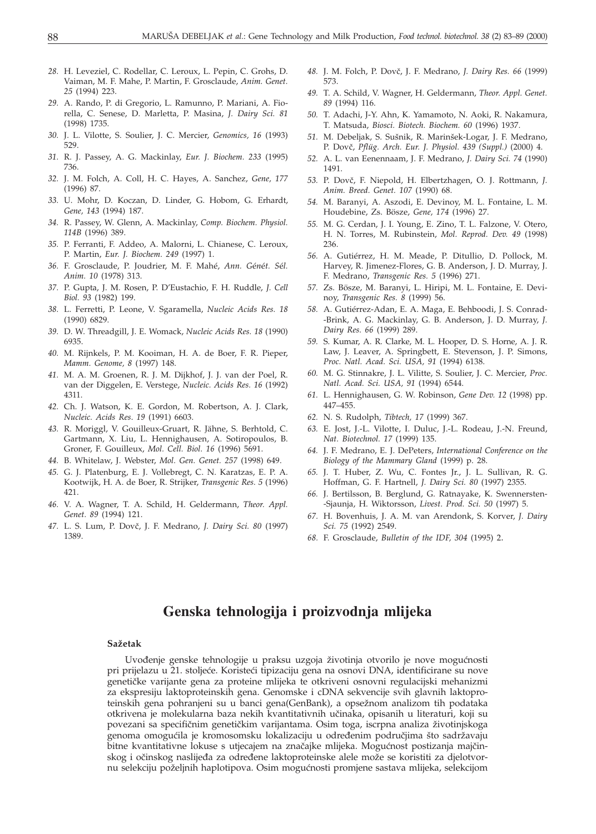- *28.* H. Leveziel, C. Rodellar, C. Leroux, L. Pepin, C. Grohs, D. Vaiman, M. F. Mahe, P. Martin, F. Grosclaude, *Anim. Genet. 25* (1994) 223.
- *29.* A. Rando, P. di Gregorio, L. Ramunno, P. Mariani, A. Fiorella, C. Senese, D. Marletta, P. Masina, *J. Dairy Sci. 81* (1998) 1735.
- *30.* J. L. Vilotte, S. Soulier, J. C. Mercier, *Genomics, 16* (1993) 529.
- *31.* R. J. Passey, A. G. Mackinlay, *Eur. J. Biochem. 233* (1995) 736.
- *32.* J. M. Folch, A. Coll, H. C. Hayes, A. Sanchez, *Gene, 177* (1996) 87.
- *33.* U. Mohr, D. Koczan, D. Linder, G. Hobom, G. Erhardt, *Gene, 143* (1994) 187.
- *34.* R. Passey, W. Glenn, A. Mackinlay, *Comp. Biochem. Physiol. 114B* (1996) 389.
- *35.* P. Ferranti, F. Addeo, A. Malorni, L. Chianese, C. Leroux, P. Martin, *Eur. J. Biochem. 249* (1997) 1.
- *36.* F. Grosclaude, P. Joudrier, M. F. Mahé, *Ann. G*é*n*é*t. S*é*l. Anim. 10* (1978) 313.
- *37.* P. Gupta, J. M. Rosen, P. D'Eustachio, F. H. Ruddle, *J. Cell Biol. 93* (1982) 199.
- *38.* L. Ferretti, P. Leone, V. Sgaramella, *Nucleic Acids Res. 18* (1990) 6829.
- *39.* D. W. Threadgill, J. E. Womack, *Nucleic Acids Res. 18* (1990) 6935.
- *40.* M. Rijnkels, P. M. Kooiman, H. A. de Boer, F. R. Pieper, *Mamm. Genome, 8* (1997) 148.
- *41.* M. A. M. Groenen, R. J. M. Dijkhof, J. J. van der Poel, R. van der Diggelen, E. Verstege, *Nucleic. Acids Res. 16* (1992) 4311.
- *42.* Ch. J. Watson, K. E. Gordon, M. Robertson, A. J. Clark, *Nucleic. Acids Res*. *19* (1991) 6603.
- *43.* R. Moriggl, V. Gouilleux-Gruart, R. Jähne, S. Berhtold, C. Gartmann, X. Liu, L. Hennighausen, A. Sotiropoulos, B. Groner, F. Gouilleux, *Mol. Cell. Biol. 16* (1996) 5691.
- *44.* B. Whitelaw, J. Webster, *Mol. Gen. Genet. 257* (1998) 649.
- *45.* G. J. Platenburg, E. J. Vollebregt, C. N. Karatzas, E. P. A. Kootwijk, H. A. de Boer, R. Strijker, *Transgenic Res. 5* (1996) 421.
- *46.* V. A. Wagner, T. A. Schild, H. Geldermann, *Theor. Appl. Genet. 89* (1994) 121.
- *47.* L. S. Lum, P. Dov~, J. F. Medrano, *J. Dairy Sci. 80* (1997) 1389.
- 48. J. M. Folch, P. Dovč, J. F. Medrano, *J. Dairy Res. 66* (1999) 573.
- *49.* T. A. Schild, V. Wagner, H. Geldermann, *Theor. Appl. Genet. 89* (1994) 116.
- *50.* T. Adachi, J-Y. Ahn, K. Yamamoto, N. Aoki, R. Nakamura, T. Matsuda, *Biosci. Biotech. Biochem. 60* (1996) 1937.
- 51. M. Debeljak, S. Sušnik, R. Marinšek-Logar, J. F. Medrano, P. Dov~, *Pflüg. Arch. Eur. J. Physiol. 439 (Suppl.)* (2000) 4.
- *52.* A. L. van Eenennaam, J. F. Medrano, *J. Dairy Sci. 74* (1990) 1491.
- *53.* P. Dov~, F. Niepold, H. Elbertzhagen, O. J. Rottmann, *J. Anim. Breed. Genet. 107* (1990) 68.
- *54.* M. Baranyi, A. Aszodi, E. Devinoy, M. L. Fontaine, L. M. Houdebine, Zs. Bösze, *Gene, 174* (1996) 27.
- *55.* M. G. Cerdan, J. I. Young, E. Zino, T. L. Falzone, V. Otero, H. N. Torres, M. Rubinstein, *Mol. Reprod. Dev. 49* (1998) 236.
- *56.* A. Gutiérrez, H. M. Meade, P. Ditullio, D. Pollock, M. Harvey, R. Jimenez-Flores, G. B. Anderson, J. D. Murray, J. F. Medrano, *Transgenic Res. 5* (1996) 271.
- *57.* Zs. Bösze, M. Baranyi, L. Hiripi, M. L. Fontaine, E. Devinoy, *Transgenic Res. 8* (1999) 56.
- *58.* A. Gutiérrez-Adan, E. A. Maga, E. Behboodi, J. S. Conrad- -Brink, A. G. Mackinlay, G. B. Anderson, J. D. Murray, *J. Dairy Res. 66* (1999) 289.
- *59.* S. Kumar, A. R. Clarke, M. L. Hooper, D. S. Horne, A. J. R. Law, J. Leaver, A. Springbett, E. Stevenson, J. P. Simons, *Proc. Natl. Acad. Sci. USA, 91* (1994) 6138.
- *60.* M. G. Stinnakre, J. L. Vilitte, S. Soulier, J. C. Mercier, *Proc. Natl. Acad. Sci. USA, 91* (1994) 6544.
- *61.* L. Hennighausen, G. W. Robinson, *Gene Dev. 12* (1998) pp. 447–455.
- *62.* N. S. Rudolph, *Tibtech, 17* (1999) 367.
- *63.* E. Jost, J.-L. Vilotte, I. Duluc, J.-L. Rodeau, J.-N. Freund, *Nat. Biotechnol. 17* (1999) 135.
- *64.* J. F. Medrano, E. J. DePeters, *International Conference on the Biology of the Mammary Gland* (1999) p. 28.
- *65.* J. T. Huber, Z. Wu, C. Fontes Jr., J. L. Sullivan, R. G. Hoffman, G. F. Hartnell, *J. Dairy Sci. 80* (1997) 2355.
- *66.* J. Bertilsson, B. Berglund, G. Ratnayake, K. Swennersten- -Sjaunja, H. Wiktorsson, *Livest. Prod. Sci. 50* (1997) 5.
- *67.* H. Bovenhuis, J. A. M. van Arendonk, S. Korver, *J. Dairy Sci. 75* (1992) 2549.
- *68.* F. Grosclaude, *Bulletin of the IDF, 304* (1995) 2.

## **Genska tehnologija i proizvodnja mlijeka**

#### **Sa`etak**

Uvođenje genske tehnologije u praksu uzgoja životinja otvorilo je nove mogućnosti pri prijelazu u 21. stoljeće. Koristeći tipizaciju gena na osnovi DNA, identificirane su nove genetičke varijante gena za proteine mlijeka te otkriveni osnovni regulacijski mehanizmi za ekspresiju laktoproteinskih gena. Genomske i cDNA sekvencije svih glavnih laktoproteinskih gena pohranjeni su u banci gena(GenBank), a opsežnom analizom tih podataka otkrivena je molekularna baza nekih kvantitativnih učinaka, opisanih u literaturi, koji su povezani sa specifičnim genetičkim varijantama. Osim toga, iscrpna analiza životinjskoga genoma omogućila je kromosomsku lokalizaciju u određenim područjima što sadržavaju bitne kvantitativne lokuse s utjecajem na značajke mlijeka. Mogućnost postizanja majčinskog i očinskog naslijeđa za određene laktoproteinske alele može se koristiti za djelotvornu selekciju poželjnih haplotipova. Osim mogućnosti promjene sastava mlijeka, selekcijom